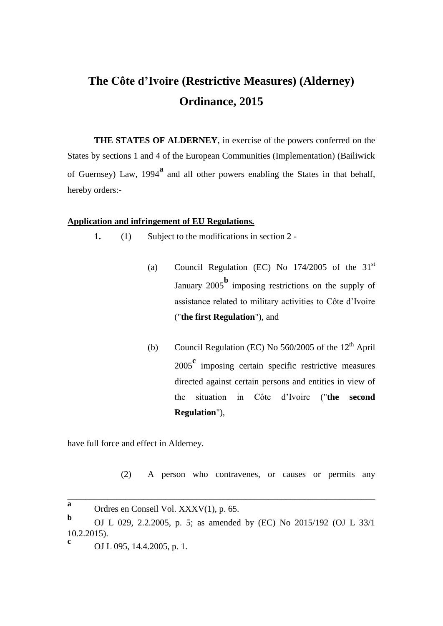# **The Côte d'Ivoire (Restrictive Measures) (Alderney) Ordinance, 2015**

**THE STATES OF ALDERNEY**, in exercise of the powers conferred on the States by sections 1 and 4 of the European Communities (Implementation) (Bailiwick of Guernsey) Law, 1994<sup>a</sup> and all other powers enabling the States in that behalf, hereby orders:-

# **Application and infringement of EU Regulations.**

**1.** (1) Subject to the modifications in section 2 -

- (a) Council Regulation (EC) No  $174/2005$  of the  $31<sup>st</sup>$ January 2005**<sup>b</sup>** imposing restrictions on the supply of assistance related to military activities to Côte d'Ivoire ("**the first Regulation**"), and
- (b) Council Regulation (EC) No  $560/2005$  of the  $12<sup>th</sup>$  April <sup>2005</sup>**<sup>c</sup>** imposing certain specific restrictive measures directed against certain persons and entities in view of the situation in Côte d'Ivoire ("**the second Regulation**"),

have full force and effect in Alderney.

(2) A person who contravenes, or causes or permits any

\_\_\_\_\_\_\_\_\_\_\_\_\_\_\_\_\_\_\_\_\_\_\_\_\_\_\_\_\_\_\_\_\_\_\_\_\_\_\_\_\_\_\_\_\_\_\_\_\_\_\_\_\_\_\_\_\_\_\_\_\_\_\_\_\_\_\_\_\_

**a** Ordres en Conseil Vol. XXXV(1), p. 65.

**b** OJ L 029, 2.2.2005, p. 5; as amended by (EC) No 2015/192 (OJ L 33/1 10.2.2015). **c**

OJ L 095, 14.4.2005, p. 1.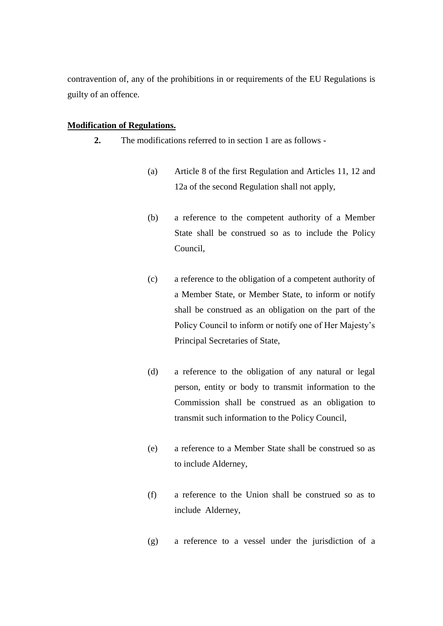contravention of, any of the prohibitions in or requirements of the EU Regulations is guilty of an offence.

# **Modification of Regulations.**

- **2.** The modifications referred to in section 1 are as follows
	- (a) Article 8 of the first Regulation and Articles 11, 12 and 12a of the second Regulation shall not apply,
	- (b) a reference to the competent authority of a Member State shall be construed so as to include the Policy Council,
	- (c) a reference to the obligation of a competent authority of a Member State, or Member State, to inform or notify shall be construed as an obligation on the part of the Policy Council to inform or notify one of Her Majesty's Principal Secretaries of State,
	- (d) a reference to the obligation of any natural or legal person, entity or body to transmit information to the Commission shall be construed as an obligation to transmit such information to the Policy Council,
	- (e) a reference to a Member State shall be construed so as to include Alderney,
	- (f) a reference to the Union shall be construed so as to include Alderney,
	- (g) a reference to a vessel under the jurisdiction of a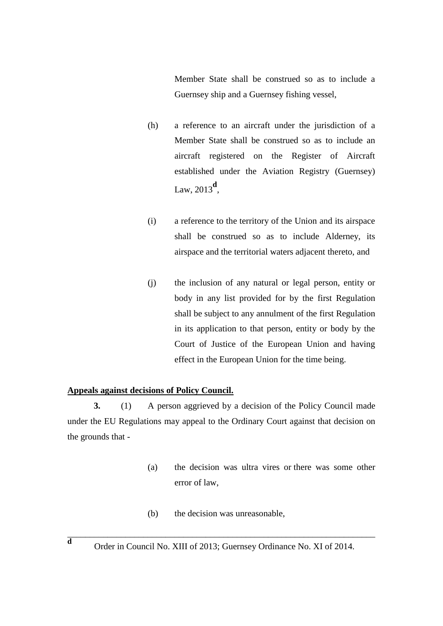Member State shall be construed so as to include a Guernsey ship and a Guernsey fishing vessel,

- (h) a reference to an aircraft under the jurisdiction of a Member State shall be construed so as to include an aircraft registered on the Register of Aircraft established under the Aviation Registry (Guernsey) Law, 2013**<sup>d</sup>** ,
- (i) a reference to the territory of the Union and its airspace shall be construed so as to include Alderney, its airspace and the territorial waters adjacent thereto, and
- (j) the inclusion of any natural or legal person, entity or body in any list provided for by the first Regulation shall be subject to any annulment of the first Regulation in its application to that person, entity or body by the Court of Justice of the European Union and having effect in the European Union for the time being.

## **Appeals against decisions of Policy Council.**

**3.** (1) A person aggrieved by a decision of the Policy Council made under the EU Regulations may appeal to the Ordinary Court against that decision on the grounds that -

- (a) the decision was ultra vires or there was some other error of law,
- (b) the decision was unreasonable,

\_\_\_\_\_\_\_\_\_\_\_\_\_\_\_\_\_\_\_\_\_\_\_\_\_\_\_\_\_\_\_\_\_\_\_\_\_\_\_\_\_\_\_\_\_\_\_\_\_\_\_\_\_\_\_\_\_\_\_\_\_\_\_\_\_\_\_\_\_ **d**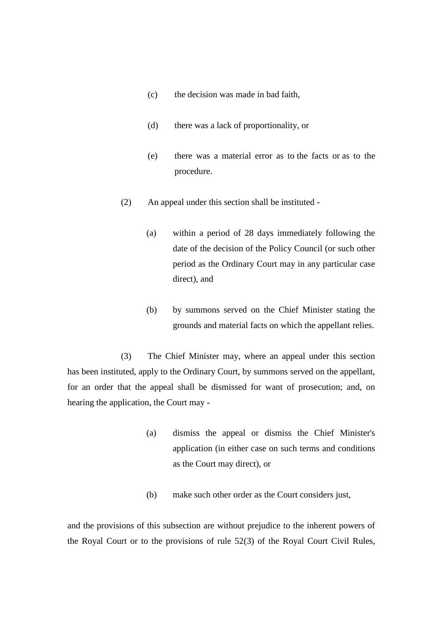- (c) the decision was made in bad faith,
- (d) there was a lack of proportionality, or
- (e) there was a material error as to the facts or as to the procedure.
- (2) An appeal under this section shall be instituted
	- (a) within a period of 28 days immediately following the date of the decision of the Policy Council (or such other period as the Ordinary Court may in any particular case direct), and
	- (b) by summons served on the Chief Minister stating the grounds and material facts on which the appellant relies.

(3) The Chief Minister may, where an appeal under this section has been instituted, apply to the Ordinary Court, by summons served on the appellant, for an order that the appeal shall be dismissed for want of prosecution; and, on hearing the application, the Court may -

- (a) dismiss the appeal or dismiss the Chief Minister's application (in either case on such terms and conditions as the Court may direct), or
- (b) make such other order as the Court considers just,

and the provisions of this subsection are without prejudice to the inherent powers of the Royal Court or to the provisions of rule 52(3) of the Royal Court Civil Rules,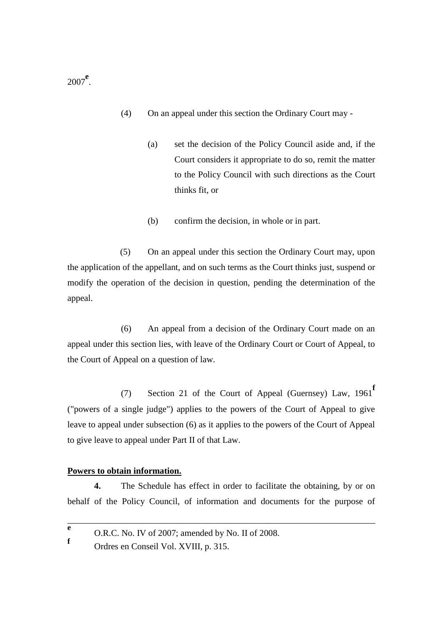- (4) On an appeal under this section the Ordinary Court may
	- (a) set the decision of the Policy Council aside and, if the Court considers it appropriate to do so, remit the matter to the Policy Council with such directions as the Court thinks fit, or
	- (b) confirm the decision, in whole or in part.

(5) On an appeal under this section the Ordinary Court may, upon the application of the appellant, and on such terms as the Court thinks just, suspend or modify the operation of the decision in question, pending the determination of the appeal.

(6) An appeal from a decision of the Ordinary Court made on an appeal under this section lies, with leave of the Ordinary Court or Court of Appeal, to the Court of Appeal on a question of law.

(7) Section 21 of the Court of Appeal (Guernsey) Law, 1961**<sup>f</sup>** ("powers of a single judge") applies to the powers of the Court of Appeal to give leave to appeal under subsection (6) as it applies to the powers of the Court of Appeal to give leave to appeal under Part II of that Law.

## **Powers to obtain information.**

**4.** The Schedule has effect in order to facilitate the obtaining, by or on behalf of the Policy Council, of information and documents for the purpose of

\_\_\_\_\_\_\_\_\_\_\_\_\_\_\_\_\_\_\_\_\_\_\_\_\_\_\_\_\_\_\_\_\_\_\_\_\_\_\_\_\_\_\_\_\_\_\_\_\_\_\_\_\_\_\_\_\_\_\_\_\_\_\_\_\_\_\_\_\_

<sup>2007</sup>**<sup>e</sup>** .

**e** O.R.C. No. IV of 2007; amended by No. II of 2008. **f**

Ordres en Conseil Vol. XVIII, p. 315.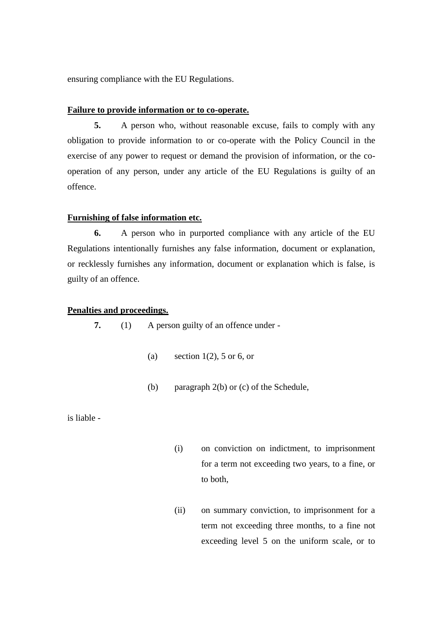ensuring compliance with the EU Regulations.

## **Failure to provide information or to co-operate.**

**5.** A person who, without reasonable excuse, fails to comply with any obligation to provide information to or co-operate with the Policy Council in the exercise of any power to request or demand the provision of information, or the cooperation of any person, under any article of the EU Regulations is guilty of an offence.

## **Furnishing of false information etc.**

**6.** A person who in purported compliance with any article of the EU Regulations intentionally furnishes any false information, document or explanation, or recklessly furnishes any information, document or explanation which is false, is guilty of an offence.

## **Penalties and proceedings.**

**7.** (1) A person guilty of an offence under -

- (a) section  $1(2)$ , 5 or 6, or
- (b) paragraph 2(b) or (c) of the Schedule,

is liable -

- (i) on conviction on indictment, to imprisonment for a term not exceeding two years, to a fine, or to both,
- (ii) on summary conviction, to imprisonment for a term not exceeding three months, to a fine not exceeding level 5 on the uniform scale, or to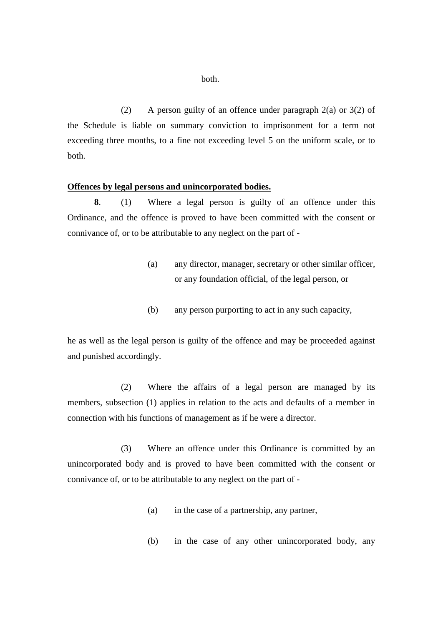(2) A person guilty of an offence under paragraph 2(a) or 3(2) of the Schedule is liable on summary conviction to imprisonment for a term not exceeding three months, to a fine not exceeding level 5 on the uniform scale, or to both.

#### **Offences by legal persons and unincorporated bodies.**

**8**. (1) Where a legal person is guilty of an offence under this Ordinance, and the offence is proved to have been committed with the consent or connivance of, or to be attributable to any neglect on the part of -

- (a) any director, manager, secretary or other similar officer, or any foundation official, of the legal person, or
- (b) any person purporting to act in any such capacity,

he as well as the legal person is guilty of the offence and may be proceeded against and punished accordingly.

(2) Where the affairs of a legal person are managed by its members, subsection (1) applies in relation to the acts and defaults of a member in connection with his functions of management as if he were a director.

(3) Where an offence under this Ordinance is committed by an unincorporated body and is proved to have been committed with the consent or connivance of, or to be attributable to any neglect on the part of -

- (a) in the case of a partnership, any partner,
- (b) in the case of any other unincorporated body, any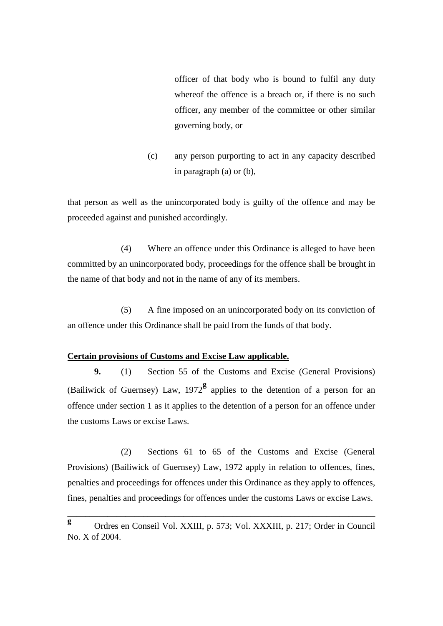officer of that body who is bound to fulfil any duty whereof the offence is a breach or, if there is no such officer, any member of the committee or other similar governing body, or

(c) any person purporting to act in any capacity described in paragraph (a) or (b),

that person as well as the unincorporated body is guilty of the offence and may be proceeded against and punished accordingly.

(4) Where an offence under this Ordinance is alleged to have been committed by an unincorporated body, proceedings for the offence shall be brought in the name of that body and not in the name of any of its members.

(5) A fine imposed on an unincorporated body on its conviction of an offence under this Ordinance shall be paid from the funds of that body.

# **Certain provisions of Customs and Excise Law applicable.**

**9.** (1) Section 55 of the Customs and Excise (General Provisions) (Bailiwick of Guernsey) Law, 1972**<sup>g</sup>** applies to the detention of a person for an offence under section 1 as it applies to the detention of a person for an offence under the customs Laws or excise Laws.

(2) Sections 61 to 65 of the Customs and Excise (General Provisions) (Bailiwick of Guernsey) Law, 1972 apply in relation to offences, fines, penalties and proceedings for offences under this Ordinance as they apply to offences, fines, penalties and proceedings for offences under the customs Laws or excise Laws.

\_\_\_\_\_\_\_\_\_\_\_\_\_\_\_\_\_\_\_\_\_\_\_\_\_\_\_\_\_\_\_\_\_\_\_\_\_\_\_\_\_\_\_\_\_\_\_\_\_\_\_\_\_\_\_\_\_\_\_\_\_\_\_\_\_\_\_\_\_

**g** Ordres en Conseil Vol. XXIII, p. 573; Vol. XXXIII, p. 217; Order in Council No. X of 2004.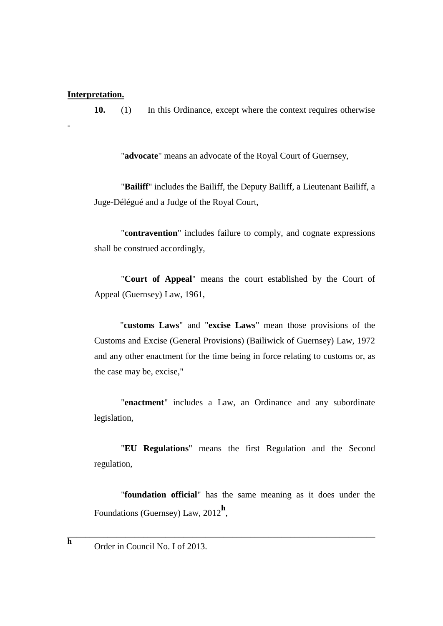## **Interpretation.**

-

**10.** (1) In this Ordinance, except where the context requires otherwise

"**advocate**" means an advocate of the Royal Court of Guernsey,

"**Bailiff**" includes the Bailiff, the Deputy Bailiff, a Lieutenant Bailiff, a Juge-Délégué and a Judge of the Royal Court,

"**contravention**" includes failure to comply, and cognate expressions shall be construed accordingly,

"**Court of Appeal**" means the court established by the Court of Appeal (Guernsey) Law, 1961,

"**customs Laws**" and "**excise Laws**" mean those provisions of the Customs and Excise (General Provisions) (Bailiwick of Guernsey) Law, 1972 and any other enactment for the time being in force relating to customs or, as the case may be, excise,"

"**enactment**" includes a Law, an Ordinance and any subordinate legislation,

"**EU Regulations**" means the first Regulation and the Second regulation,

"**foundation official**" has the same meaning as it does under the Foundations (Guernsey) Law, 2012**<sup>h</sup>** ,

\_\_\_\_\_\_\_\_\_\_\_\_\_\_\_\_\_\_\_\_\_\_\_\_\_\_\_\_\_\_\_\_\_\_\_\_\_\_\_\_\_\_\_\_\_\_\_\_\_\_\_\_\_\_\_\_\_\_\_\_\_\_\_\_\_\_\_\_\_

Order in Council No. I of 2013.

**h**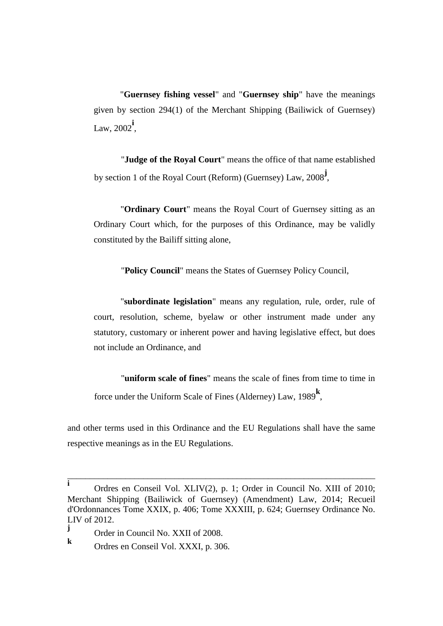"**Guernsey fishing vessel**" and "**Guernsey ship**" have the meanings given by section 294(1) of the Merchant Shipping (Bailiwick of Guernsey) Law, 2002**<sup>i</sup>** ,

"**Judge of the Royal Court**" means the office of that name established by section 1 of the Royal Court (Reform) (Guernsey) Law, 2008**<sup>j</sup>** ,

"**Ordinary Court**" means the Royal Court of Guernsey sitting as an Ordinary Court which, for the purposes of this Ordinance, may be validly constituted by the Bailiff sitting alone,

"**Policy Council**" means the States of Guernsey Policy Council,

"**subordinate legislation**" means any regulation, rule, order, rule of court, resolution, scheme, byelaw or other instrument made under any statutory, customary or inherent power and having legislative effect, but does not include an Ordinance, and

"**uniform scale of fines**" means the scale of fines from time to time in force under the Uniform Scale of Fines (Alderney) Law, 1989**<sup>k</sup>** ,

and other terms used in this Ordinance and the EU Regulations shall have the same respective meanings as in the EU Regulations.

\_\_\_\_\_\_\_\_\_\_\_\_\_\_\_\_\_\_\_\_\_\_\_\_\_\_\_\_\_\_\_\_\_\_\_\_\_\_\_\_\_\_\_\_\_\_\_\_\_\_\_\_\_\_\_\_\_\_\_\_\_\_\_\_\_\_\_\_\_

**k** Ordres en Conseil Vol. XXXI, p. 306.

**i** Ordres en Conseil Vol. XLIV(2), p. 1; Order in Council No. XIII of 2010; Merchant Shipping (Bailiwick of Guernsey) (Amendment) Law, 2014; Recueil d'Ordonnances Tome XXIX, p. 406; Tome XXXIII, p. 624; Guernsey Ordinance No. LIV of 2012.

**j** Order in Council No. XXII of 2008.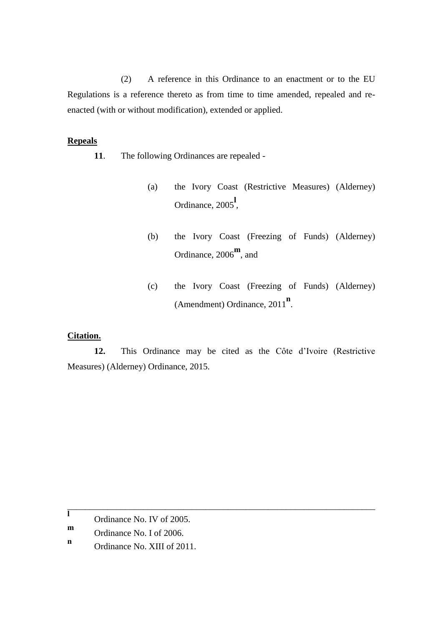(2) A reference in this Ordinance to an enactment or to the EU Regulations is a reference thereto as from time to time amended, repealed and reenacted (with or without modification), extended or applied.

## **Repeals**

- **11**. The following Ordinances are repealed
	- (a) the Ivory Coast (Restrictive Measures) (Alderney) Ordinance, 2005**<sup>l</sup>** ,
	- (b) the Ivory Coast (Freezing of Funds) (Alderney) Ordinance, 2006**<sup>m</sup>** , and
	- (c) the Ivory Coast (Freezing of Funds) (Alderney) (Amendment) Ordinance, 2011<sup>n</sup>.

# **Citation.**

**12.** This Ordinance may be cited as the Côte d'Ivoire (Restrictive Measures) (Alderney) Ordinance, 2015.

\_\_\_\_\_\_\_\_\_\_\_\_\_\_\_\_\_\_\_\_\_\_\_\_\_\_\_\_\_\_\_\_\_\_\_\_\_\_\_\_\_\_\_\_\_\_\_\_\_\_\_\_\_\_\_\_\_\_\_\_\_\_\_\_\_\_\_\_\_

**l** Ordinance No. IV of 2005.

**m** Ordinance No. I of 2006.

**n** Ordinance No. XIII of 2011.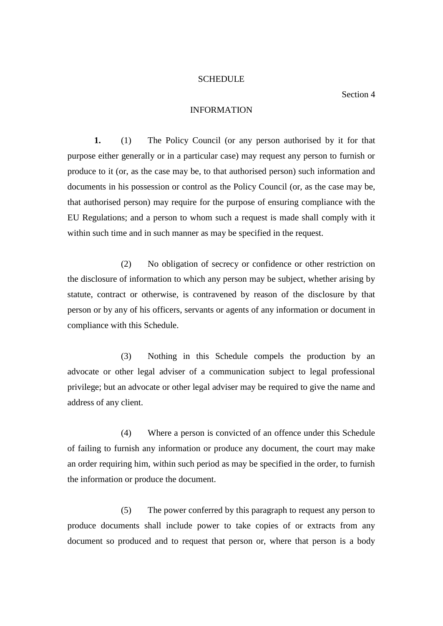#### **SCHEDULE**

## Section 4

## INFORMATION

**1.** (1) The Policy Council (or any person authorised by it for that purpose either generally or in a particular case) may request any person to furnish or produce to it (or, as the case may be, to that authorised person) such information and documents in his possession or control as the Policy Council (or, as the case may be, that authorised person) may require for the purpose of ensuring compliance with the EU Regulations; and a person to whom such a request is made shall comply with it within such time and in such manner as may be specified in the request.

(2) No obligation of secrecy or confidence or other restriction on the disclosure of information to which any person may be subject, whether arising by statute, contract or otherwise, is contravened by reason of the disclosure by that person or by any of his officers, servants or agents of any information or document in compliance with this Schedule.

(3) Nothing in this Schedule compels the production by an advocate or other legal adviser of a communication subject to legal professional privilege; but an advocate or other legal adviser may be required to give the name and address of any client.

(4) Where a person is convicted of an offence under this Schedule of failing to furnish any information or produce any document, the court may make an order requiring him, within such period as may be specified in the order, to furnish the information or produce the document.

(5) The power conferred by this paragraph to request any person to produce documents shall include power to take copies of or extracts from any document so produced and to request that person or, where that person is a body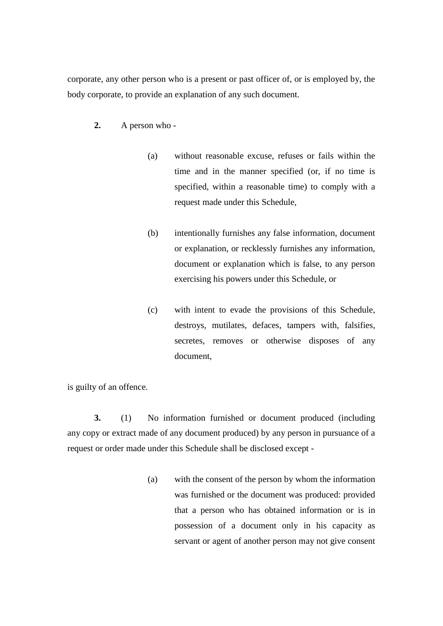corporate, any other person who is a present or past officer of, or is employed by, the body corporate, to provide an explanation of any such document.

- **2.** A person who
	- (a) without reasonable excuse, refuses or fails within the time and in the manner specified (or, if no time is specified, within a reasonable time) to comply with a request made under this Schedule,
	- (b) intentionally furnishes any false information, document or explanation, or recklessly furnishes any information, document or explanation which is false, to any person exercising his powers under this Schedule, or
	- (c) with intent to evade the provisions of this Schedule, destroys, mutilates, defaces, tampers with, falsifies, secretes, removes or otherwise disposes of any document,

is guilty of an offence.

**3.** (1) No information furnished or document produced (including any copy or extract made of any document produced) by any person in pursuance of a request or order made under this Schedule shall be disclosed except -

> (a) with the consent of the person by whom the information was furnished or the document was produced: provided that a person who has obtained information or is in possession of a document only in his capacity as servant or agent of another person may not give consent